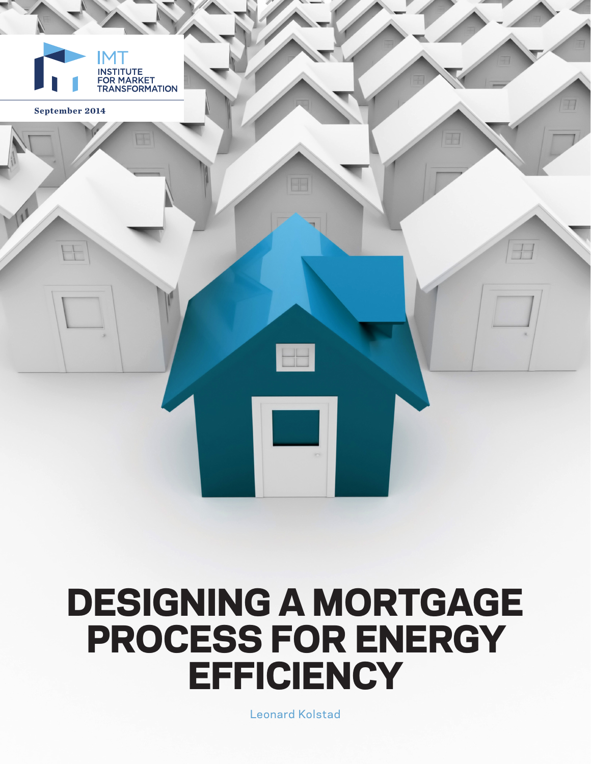

# DESIGNING A MORTGAGE PROCESS FOR ENERGY **EFFICIENCY**

Leonard Kolstad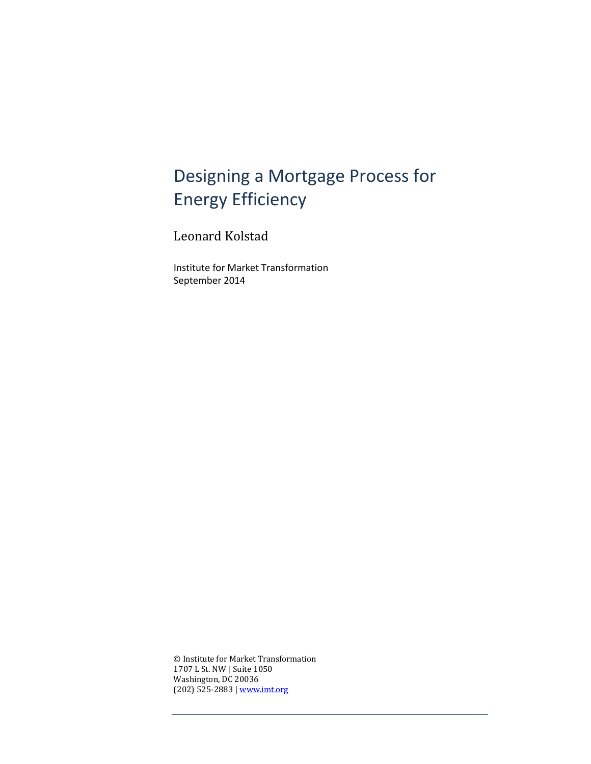# Designing a Mortgage Process for Energy Efficiency

Leonard Kolstad

Institute for Market Transformation September 2014

© Institute for Market Transformation 1707 L St. NW | Suite 1050 Washington, DC 20036 (202) 525-2883 | [www.imt.org](http://www.imt.org/)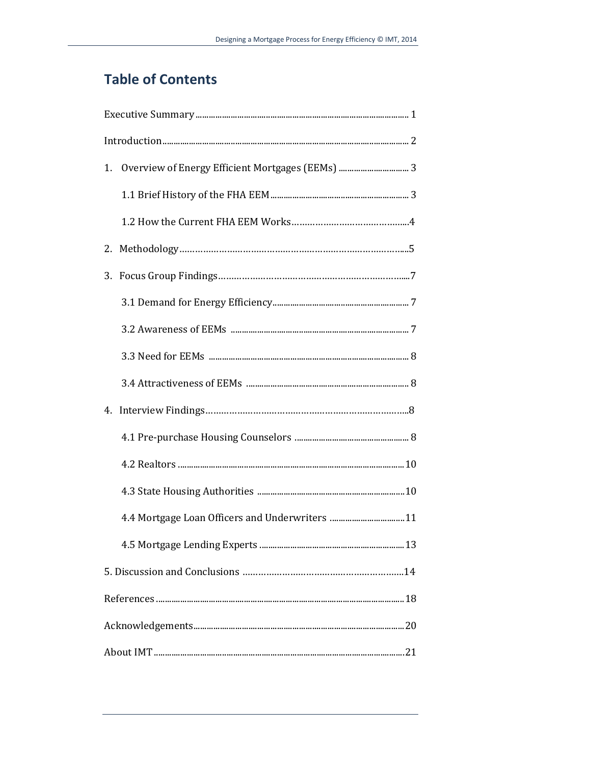## **Table of Contents**

| 1. | Overview of Energy Efficient Mortgages (EEMs)  3 |  |
|----|--------------------------------------------------|--|
|    |                                                  |  |
|    |                                                  |  |
|    |                                                  |  |
| 3. |                                                  |  |
|    |                                                  |  |
|    |                                                  |  |
|    |                                                  |  |
|    |                                                  |  |
|    |                                                  |  |
|    |                                                  |  |
|    |                                                  |  |
|    |                                                  |  |
|    | 4.4 Mortgage Loan Officers and Underwriters 11   |  |
|    |                                                  |  |
|    |                                                  |  |
|    |                                                  |  |
|    |                                                  |  |
|    |                                                  |  |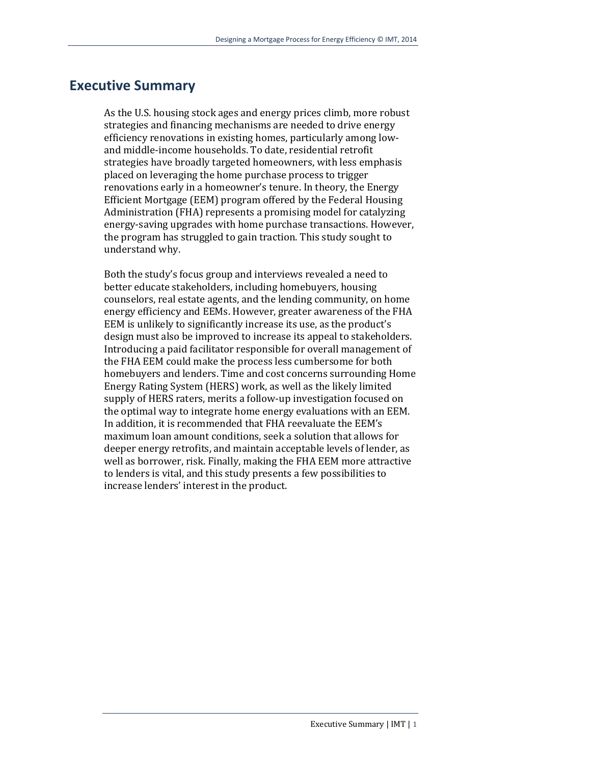## **Executive Summary**

As the U.S. housing stock ages and energy prices climb, more robust strategies and financing mechanisms are needed to drive energy efficiency renovations in existing homes, particularly among lowand middle-income households. To date, residential retrofit strategies have broadly targeted homeowners, with less emphasis placed on leveraging the home purchase process to trigger renovations early in a homeowner's tenure. In theory, the Energy Efficient Mortgage (EEM) program offered by the Federal Housing Administration (FHA) represents a promising model for catalyzing energy-saving upgrades with home purchase transactions. However, the program has struggled to gain traction. This study sought to understand why.

Both the study's focus group and interviews revealed a need to better educate stakeholders, including homebuyers, housing counselors, real estate agents, and the lending community, on home energy efficiency and EEMs. However, greater awareness of the FHA EEM is unlikely to significantly increase its use, as the product's design must also be improved to increase its appeal to stakeholders. Introducing a paid facilitator responsible for overall management of the FHA EEM could make the process less cumbersome for both homebuyers and lenders. Time and cost concerns surrounding Home Energy Rating System (HERS) work, as well as the likely limited supply of HERS raters, merits a follow-up investigation focused on the optimal way to integrate home energy evaluations with an EEM. In addition, it is recommended that FHA reevaluate the EEM's maximum loan amount conditions, seek a solution that allows for deeper energy retrofits, and maintain acceptable levels of lender, as well as borrower, risk. Finally, making the FHA EEM more attractive to lenders is vital, and this study presents a few possibilities to increase lenders' interest in the product.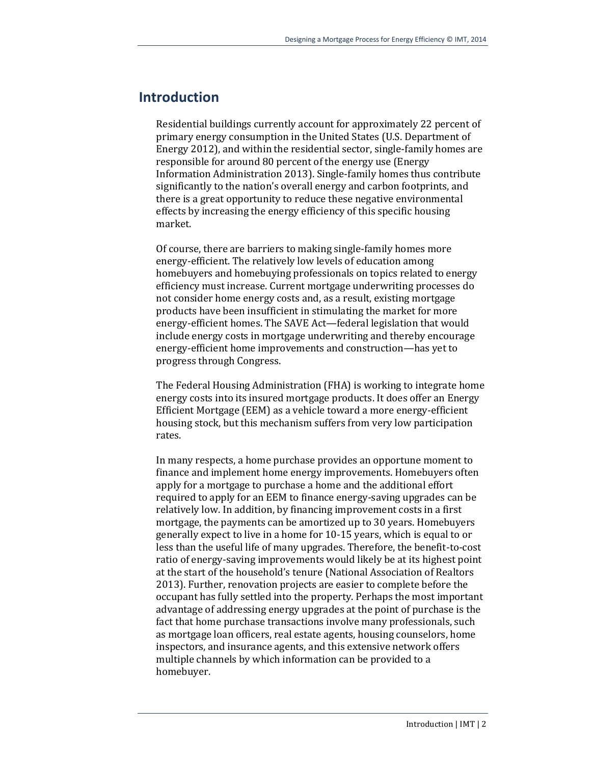#### **Introduction**

Residential buildings currently account for approximately 22 percent of primary energy consumption in the United States (U.S. Department of Energy 2012), and within the residential sector, single-family homes are responsible for around 80 percent of the energy use (Energy Information Administration 2013). Single-family homes thus contribute significantly to the nation's overall energy and carbon footprints, and there is a great opportunity to reduce these negative environmental effects by increasing the energy efficiency of this specific housing market.

Of course, there are barriers to making single-family homes more energy-efficient. The relatively low levels of education among homebuyers and homebuying professionals on topics related to energy efficiency must increase. Current mortgage underwriting processes do not consider home energy costs and, as a result, existing mortgage products have been insufficient in stimulating the market for more energy-efficient homes. The SAVE Act—federal legislation that would include energy costs in mortgage underwriting and thereby encourage energy-efficient home improvements and construction—has yet to progress through Congress.

The Federal Housing Administration (FHA) is working to integrate home energy costs into its insured mortgage products. It does offer an Energy Efficient Mortgage (EEM) as a vehicle toward a more energy-efficient housing stock, but this mechanism suffers from very low participation rates.

In many respects, a home purchase provides an opportune moment to finance and implement home energy improvements. Homebuyers often apply for a mortgage to purchase a home and the additional effort required to apply for an EEM to finance energy-saving upgrades can be relatively low. In addition, by financing improvement costs in a first mortgage, the payments can be amortized up to 30 years. Homebuyers generally expect to live in a home for 10-15 years, which is equal to or less than the useful life of many upgrades. Therefore, the benefit-to-cost ratio of energy-saving improvements would likely be at its highest point at the start of the household's tenure (National Association of Realtors 2013). Further, renovation projects are easier to complete before the occupant has fully settled into the property. Perhaps the most important advantage of addressing energy upgrades at the point of purchase is the fact that home purchase transactions involve many professionals, such as mortgage loan officers, real estate agents, housing counselors, home inspectors, and insurance agents, and this extensive network offers multiple channels by which information can be provided to a homebuyer.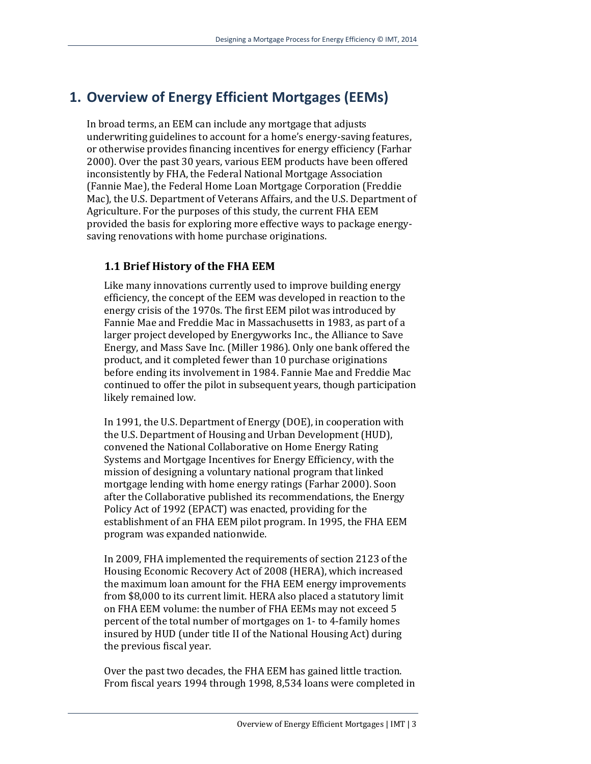## **1. Overview of Energy Efficient Mortgages (EEMs)**

In broad terms, an EEM can include any mortgage that adjusts underwriting guidelines to account for a home's energy-saving features, or otherwise provides financing incentives for energy efficiency (Farhar 2000). Over the past 30 years, various EEM products have been offered inconsistently by FHA, the Federal National Mortgage Association (Fannie Mae), the Federal Home Loan Mortgage Corporation (Freddie Mac), the U.S. Department of Veterans Affairs, and the U.S. Department of Agriculture. For the purposes of this study, the current FHA EEM provided the basis for exploring more effective ways to package energysaving renovations with home purchase originations.

#### **1.1 Brief History of the FHA EEM**

Like many innovations currently used to improve building energy efficiency, the concept of the EEM was developed in reaction to the energy crisis of the 1970s. The first EEM pilot was introduced by Fannie Mae and Freddie Mac in Massachusetts in 1983, as part of a larger project developed by Energyworks Inc., the Alliance to Save Energy, and Mass Save Inc. (Miller 1986). Only one bank offered the product, and it completed fewer than 10 purchase originations before ending its involvement in 1984. Fannie Mae and Freddie Mac continued to offer the pilot in subsequent years, though participation likely remained low.

In 1991, the U.S. Department of Energy (DOE), in cooperation with the U.S. Department of Housing and Urban Development (HUD), convened the National Collaborative on Home Energy Rating Systems and Mortgage Incentives for Energy Efficiency, with the mission of designing a voluntary national program that linked mortgage lending with home energy ratings (Farhar 2000). Soon after the Collaborative published its recommendations, the Energy Policy Act of 1992 (EPACT) was enacted, providing for the establishment of an FHA EEM pilot program. In 1995, the FHA EEM program was expanded nationwide.

In 2009, FHA implemented the requirements of section 2123 of the Housing Economic Recovery Act of 2008 (HERA), which increased the maximum loan amount for the FHA EEM energy improvements from \$8,000 to its current limit. HERA also placed a statutory limit on FHA EEM volume: the number of FHA EEMs may not exceed 5 percent of the total number of mortgages on 1- to 4-family homes insured by HUD (under title II of the National Housing Act) during the previous fiscal year.

Over the past two decades, the FHA EEM has gained little traction. From fiscal years 1994 through 1998, 8,534 loans were completed in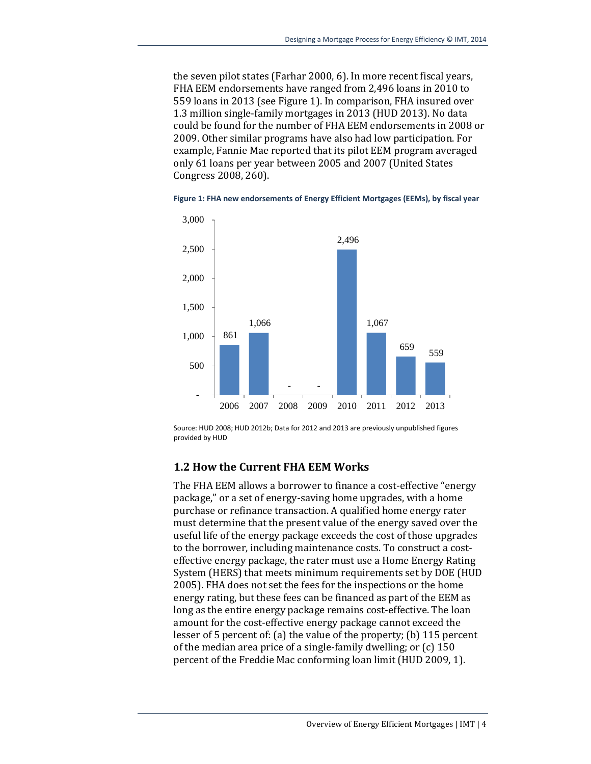the seven pilot states (Farhar 2000, 6). In more recent fiscal years, FHA EEM endorsements have ranged from 2,496 loans in 2010 to 559 loans in 2013 (see Figure 1). In comparison, FHA insured over 1.3 million single-family mortgages in 2013 (HUD 2013). No data could be found for the number of FHA EEM endorsements in 2008 or 2009. Other similar programs have also had low participation. For example, Fannie Mae reported that its pilot EEM program averaged only 61 loans per year between 2005 and 2007 (United States Congress 2008, 260).

**Figure 1: FHA new endorsements of Energy Efficient Mortgages (EEMs), by fiscal year** 



Source: HUD 2008; HUD 2012b; Data for 2012 and 2013 are previously unpublished figures provided by HUD

#### **1.2 How the Current FHA EEM Works**

The FHA EEM allows a borrower to finance a cost-effective "energy package," or a set of energy-saving home upgrades, with a home purchase or refinance transaction. A qualified home energy rater must determine that the present value of the energy saved over the useful life of the energy package exceeds the cost of those upgrades to the borrower, including maintenance costs. To construct a costeffective energy package, the rater must use a Home Energy Rating System (HERS) that meets minimum requirements set by DOE (HUD 2005). FHA does not set the fees for the inspections or the home energy rating, but these fees can be financed as part of the EEM as long as the entire energy package remains cost-effective. The loan amount for the cost-effective energy package cannot exceed the lesser of 5 percent of: (a) the value of the property; (b) 115 percent of the median area price of a single-family dwelling; or (c) 150 percent of the Freddie Mac conforming loan limit (HUD 2009, 1).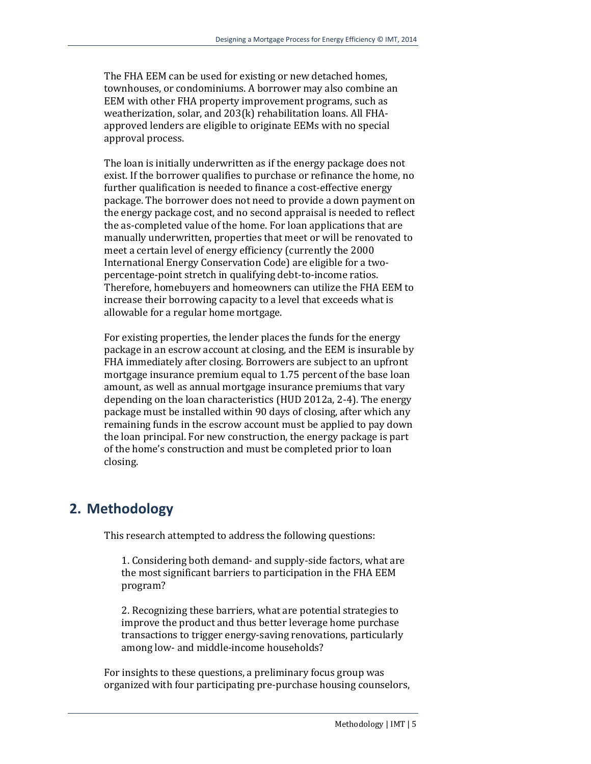The FHA EEM can be used for existing or new detached homes, townhouses, or condominiums. A borrower may also combine an EEM with other FHA property improvement programs, such as weatherization, solar, and 203(k) rehabilitation loans. All FHAapproved lenders are eligible to originate EEMs with no special approval process.

The loan is initially underwritten as if the energy package does not exist. If the borrower qualifies to purchase or refinance the home, no further qualification is needed to finance a cost-effective energy package. The borrower does not need to provide a down payment on the energy package cost, and no second appraisal is needed to reflect the as-completed value of the home. For loan applications that are manually underwritten, properties that meet or will be renovated to meet a certain level of energy efficiency (currently the 2000 International Energy Conservation Code) are eligible for a twopercentage-point stretch in qualifying debt-to-income ratios. Therefore, homebuyers and homeowners can utilize the FHA EEM to increase their borrowing capacity to a level that exceeds what is allowable for a regular home mortgage.

For existing properties, the lender places the funds for the energy package in an escrow account at closing, and the EEM is insurable by FHA immediately after closing. Borrowers are subject to an upfront mortgage insurance premium equal to 1.75 percent of the base loan amount, as well as annual mortgage insurance premiums that vary depending on the loan characteristics (HUD 2012a, 2-4). The energy package must be installed within 90 days of closing, after which any remaining funds in the escrow account must be applied to pay down the loan principal. For new construction, the energy package is part of the home's construction and must be completed prior to loan closing.

## **2. Methodology**

This research attempted to address the following questions:

1. Considering both demand- and supply-side factors, what are the most significant barriers to participation in the FHA EEM program?

2. Recognizing these barriers, what are potential strategies to improve the product and thus better leverage home purchase transactions to trigger energy-saving renovations, particularly among low- and middle-income households?

For insights to these questions, a preliminary focus group was organized with four participating pre-purchase housing counselors,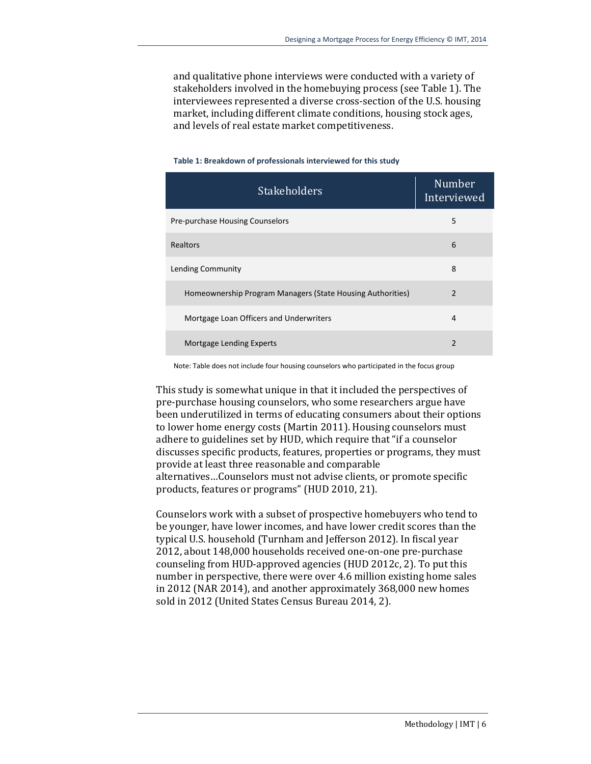and qualitative phone interviews were conducted with a variety of stakeholders involved in the homebuying process (see Table 1). The interviewees represented a diverse cross-section of the U.S. housing market, including different climate conditions, housing stock ages, and levels of real estate market competitiveness.

| <b>Stakeholders</b>                                        | Number<br>Interviewed |
|------------------------------------------------------------|-----------------------|
| Pre-purchase Housing Counselors                            | 5                     |
| Realtors                                                   | 6                     |
| Lending Community                                          | 8                     |
| Homeownership Program Managers (State Housing Authorities) | $\overline{2}$        |
| Mortgage Loan Officers and Underwriters                    | 4                     |
| Mortgage Lending Experts                                   | $\mathfrak{p}$        |

#### **Table 1: Breakdown of professionals interviewed for this study**

Note: Table does not include four housing counselors who participated in the focus group

This study is somewhat unique in that it included the perspectives of pre-purchase housing counselors, who some researchers argue have been underutilized in terms of educating consumers about their options to lower home energy costs (Martin 2011). Housing counselors must adhere to guidelines set by HUD, which require that "if a counselor discusses specific products, features, properties or programs, they must provide at least three reasonable and comparable alternatives…Counselors must not advise clients, or promote specific products, features or programs" (HUD 2010, 21).

Counselors work with a subset of prospective homebuyers who tend to be younger, have lower incomes, and have lower credit scores than the typical U.S. household (Turnham and Jefferson 2012). In fiscal year 2012, about 148,000 households received one-on-one pre-purchase counseling from HUD-approved agencies (HUD 2012c, 2). To put this number in perspective, there were over 4.6 million existing home sales in 2012 (NAR 2014), and another approximately 368,000 new homes sold in 2012 (United States Census Bureau 2014, 2).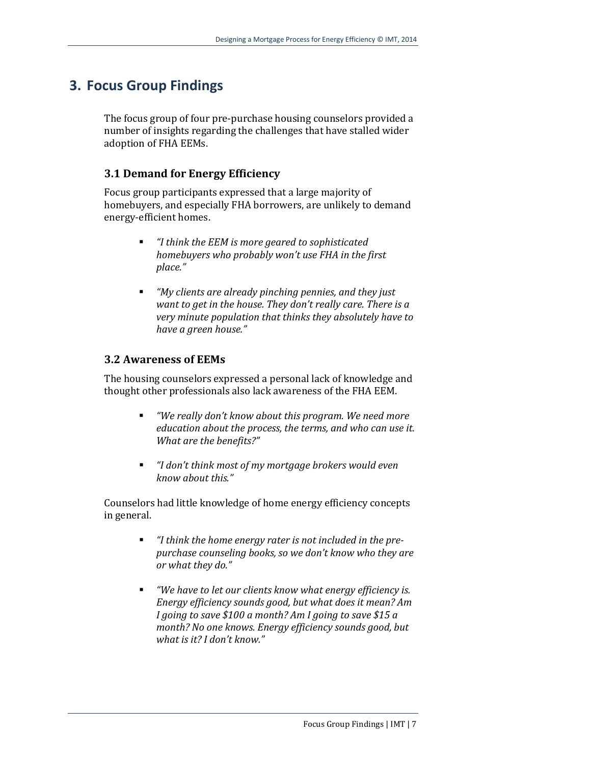## **3. Focus Group Findings**

The focus group of four pre-purchase housing counselors provided a number of insights regarding the challenges that have stalled wider adoption of FHA EEMs.

#### **3.1 Demand for Energy Efficiency**

Focus group participants expressed that a large majority of homebuyers, and especially FHA borrowers, are unlikely to demand energy-efficient homes.

- *"I think the EEM is more geared to sophisticated homebuyers who probably won't use FHA in the first place."*
- *"My clients are already pinching pennies, and they just want to get in the house. They don't really care. There is a very minute population that thinks they absolutely have to have a green house."*

#### **3.2 Awareness of EEMs**

The housing counselors expressed a personal lack of knowledge and thought other professionals also lack awareness of the FHA EEM.

- *"We really don't know about this program. We need more education about the process, the terms, and who can use it. What are the benefits?"*
- *"I don't think most of my mortgage brokers would even know about this."*

Counselors had little knowledge of home energy efficiency concepts in general.

- *"I think the home energy rater is not included in the prepurchase counseling books, so we don't know who they are or what they do."*
- *"We have to let our clients know what energy efficiency is. Energy efficiency sounds good, but what does it mean? Am I going to save \$100 a month? Am I going to save \$15 a month? No one knows. Energy efficiency sounds good, but what is it? I don't know."*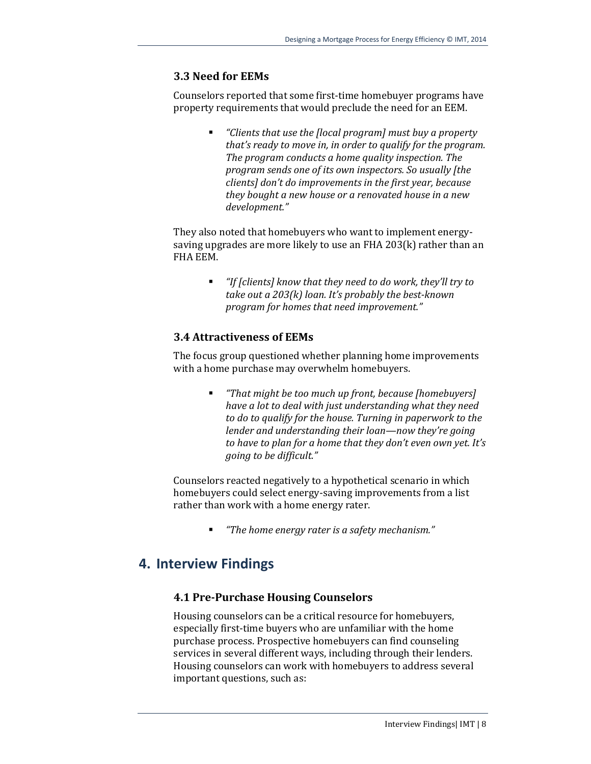#### **3.3 Need for EEMs**

Counselors reported that some first-time homebuyer programs have property requirements that would preclude the need for an EEM.

> *"Clients that use the [local program] must buy a property that's ready to move in, in order to qualify for the program. The program conducts a home quality inspection. The program sends one of its own inspectors. So usually [the clients] don't do improvements in the first year, because they bought a new house or a renovated house in a new development."*

They also noted that homebuyers who want to implement energysaving upgrades are more likely to use an FHA 203(k) rather than an FHA EEM.

> *"If [clients] know that they need to do work, they'll try to take out a 203(k) loan. It's probably the best-known program for homes that need improvement."*

#### **3.4 Attractiveness of EEMs**

The focus group questioned whether planning home improvements with a home purchase may overwhelm homebuyers.

> *"That might be too much up front, because [homebuyers] have a lot to deal with just understanding what they need to do to qualify for the house. Turning in paperwork to the lender and understanding their loan—now they're going to have to plan for a home that they don't even own yet. It's going to be difficult."*

Counselors reacted negatively to a hypothetical scenario in which homebuyers could select energy-saving improvements from a list rather than work with a home energy rater.

*"The home energy rater is a safety mechanism."*

## **4. Interview Findings**

#### **4.1 Pre-Purchase Housing Counselors**

Housing counselors can be a critical resource for homebuyers, especially first-time buyers who are unfamiliar with the home purchase process. Prospective homebuyers can find counseling services in several different ways, including through their lenders. Housing counselors can work with homebuyers to address several important questions, such as: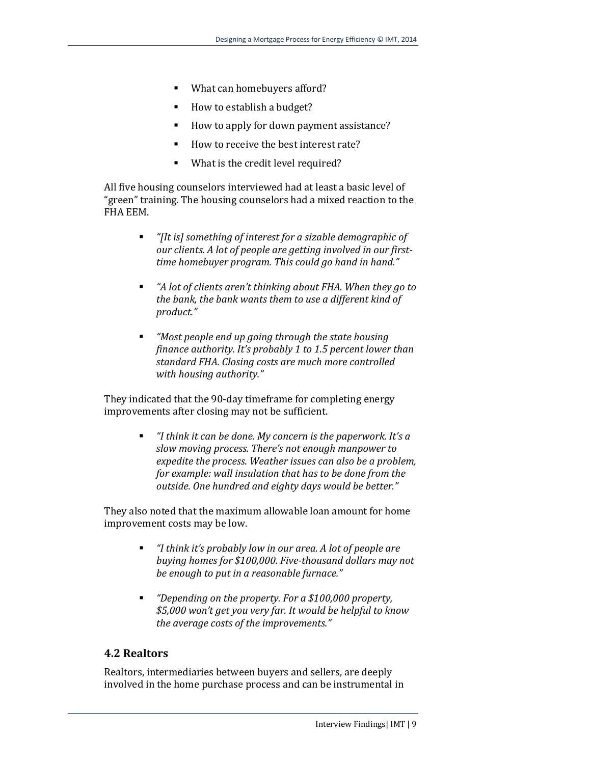- What can homebuyers afford?
- How to establish a budget?
- How to apply for down payment assistance?
- How to receive the best interest rate?
- **What is the credit level required?**

All five housing counselors interviewed had at least a basic level of "green" training. The housing counselors had a mixed reaction to the FHA EEM.

- *"[It is] something of interest for a sizable demographic of our clients. A lot of people are getting involved in our firsttime homebuyer program. This could go hand in hand."*
- *"A lot of clients aren't thinking about FHA. When they go to the bank, the bank wants them to use a different kind of product."*
- *"Most people end up going through the state housing finance authority. It's probably 1 to 1.5 percent lower than standard FHA. Closing costs are much more controlled with housing authority."*

They indicated that the 90-day timeframe for completing energy improvements after closing may not be sufficient.

> *"I think it can be done. My concern is the paperwork. It's a slow moving process. There's not enough manpower to expedite the process. Weather issues can also be a problem, for example: wall insulation that has to be done from the outside. One hundred and eighty days would be better."*

They also noted that the maximum allowable loan amount for home improvement costs may be low.

- *"I think it's probably low in our area. A lot of people are buying homes for \$100,000. Five-thousand dollars may not be enough to put in a reasonable furnace."*
- *"Depending on the property. For a \$100,000 property, \$5,000 won't get you very far. It would be helpful to know the average costs of the improvements."*

#### **4.2 Realtors**

Realtors, intermediaries between buyers and sellers, are deeply involved in the home purchase process and can be instrumental in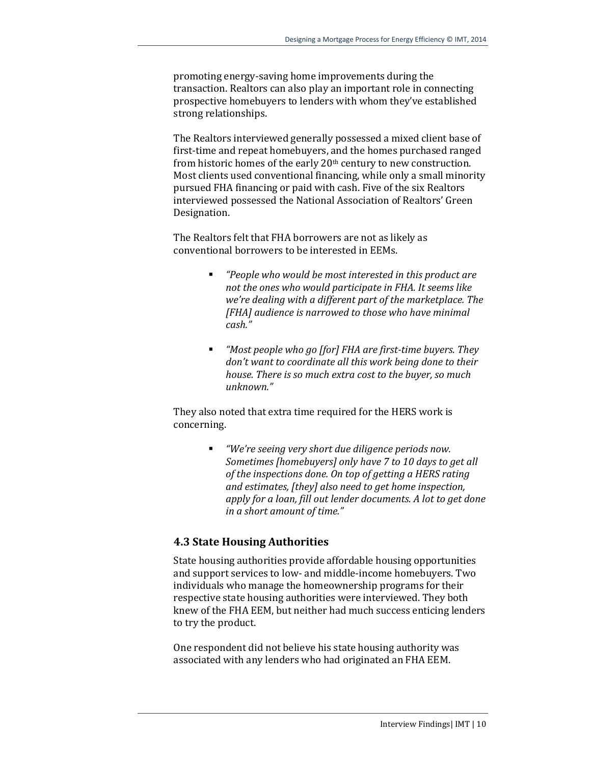promoting energy-saving home improvements during the transaction. Realtors can also play an important role in connecting prospective homebuyers to lenders with whom they've established strong relationships.

The Realtors interviewed generally possessed a mixed client base of first-time and repeat homebuyers, and the homes purchased ranged from historic homes of the early 20th century to new construction. Most clients used conventional financing, while only a small minority pursued FHA financing or paid with cash. Five of the six Realtors interviewed possessed the National Association of Realtors' Green Designation.

The Realtors felt that FHA borrowers are not as likely as conventional borrowers to be interested in EEMs.

- *"People who would be most interested in this product are not the ones who would participate in FHA. It seems like we're dealing with a different part of the marketplace. The [FHA] audience is narrowed to those who have minimal cash."*
- *"Most people who go [for] FHA are first-time buyers. They don't want to coordinate all this work being done to their house. There is so much extra cost to the buyer, so much unknown."*

They also noted that extra time required for the HERS work is concerning.

> *"We're seeing very short due diligence periods now. Sometimes [homebuyers] only have 7 to 10 days to get all of the inspections done. On top of getting a HERS rating and estimates, [they] also need to get home inspection, apply for a loan, fill out lender documents. A lot to get done in a short amount of time."*

#### **4.3 State Housing Authorities**

State housing authorities provide affordable housing opportunities and support services to low- and middle-income homebuyers. Two individuals who manage the homeownership programs for their respective state housing authorities were interviewed. They both knew of the FHA EEM, but neither had much success enticing lenders to try the product.

One respondent did not believe his state housing authority was associated with any lenders who had originated an FHA EEM.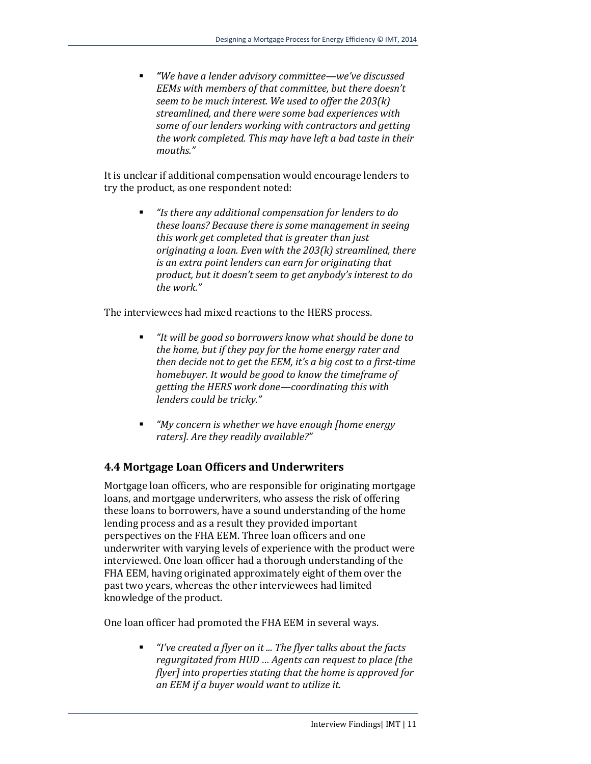*"We have a lender advisory committee—we've discussed EEMs with members of that committee, but there doesn't seem to be much interest. We used to offer the 203(k) streamlined, and there were some bad experiences with some of our lenders working with contractors and getting the work completed. This may have left a bad taste in their mouths."*

It is unclear if additional compensation would encourage lenders to try the product, as one respondent noted:

> *"Is there any additional compensation for lenders to do these loans? Because there is some management in seeing this work get completed that is greater than just originating a loan. Even with the 203(k) streamlined, there is an extra point lenders can earn for originating that product, but it doesn't seem to get anybody's interest to do the work."*

The interviewees had mixed reactions to the HERS process.

- *"It will be good so borrowers know what should be done to the home, but if they pay for the home energy rater and then decide not to get the EEM, it's a big cost to a first-time homebuyer. It would be good to know the timeframe of getting the HERS work done—coordinating this with lenders could be tricky."*
- *"My concern is whether we have enough [home energy raters]. Are they readily available?"*

#### **4.4 Mortgage Loan Officers and Underwriters**

Mortgage loan officers, who are responsible for originating mortgage loans, and mortgage underwriters, who assess the risk of offering these loans to borrowers, have a sound understanding of the home lending process and as a result they provided important perspectives on the FHA EEM. Three loan officers and one underwriter with varying levels of experience with the product were interviewed. One loan officer had a thorough understanding of the FHA EEM, having originated approximately eight of them over the past two years, whereas the other interviewees had limited knowledge of the product.

One loan officer had promoted the FHA EEM in several ways.

 *"I've created a flyer on it ... The flyer talks about the facts regurgitated from HUD … Agents can request to place [the flyer] into properties stating that the home is approved for an EEM if a buyer would want to utilize it.*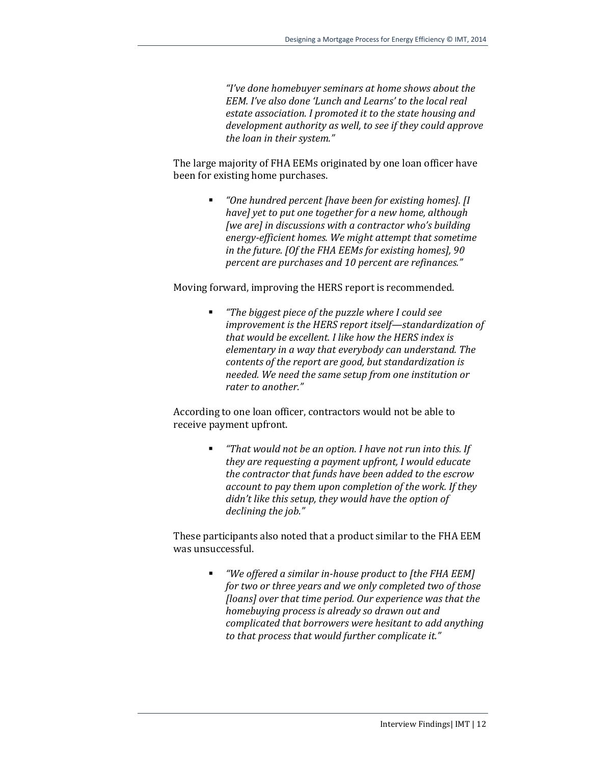*"I've done homebuyer seminars at home shows about the EEM. I've also done 'Lunch and Learns' to the local real estate association. I promoted it to the state housing and development authority as well, to see if they could approve the loan in their system."*

The large majority of FHA EEMs originated by one loan officer have been for existing home purchases.

> *"One hundred percent [have been for existing homes]. [I have] yet to put one together for a new home, although [we are] in discussions with a contractor who's building energy-efficient homes. We might attempt that sometime in the future. [Of the FHA EEMs for existing homes], 90 percent are purchases and 10 percent are refinances."*

Moving forward, improving the HERS report is recommended.

 *"The biggest piece of the puzzle where I could see improvement is the HERS report itself—standardization of that would be excellent. I like how the HERS index is elementary in a way that everybody can understand. The contents of the report are good, but standardization is needed. We need the same setup from one institution or rater to another."* 

According to one loan officer, contractors would not be able to receive payment upfront.

> *"That would not be an option. I have not run into this. If they are requesting a payment upfront, I would educate the contractor that funds have been added to the escrow account to pay them upon completion of the work. If they didn't like this setup, they would have the option of declining the job."*

These participants also noted that a product similar to the FHA EEM was unsuccessful.

> *"We offered a similar in-house product to [the FHA EEM] for two or three years and we only completed two of those [loans] over that time period. Our experience was that the homebuying process is already so drawn out and complicated that borrowers were hesitant to add anything to that process that would further complicate it."*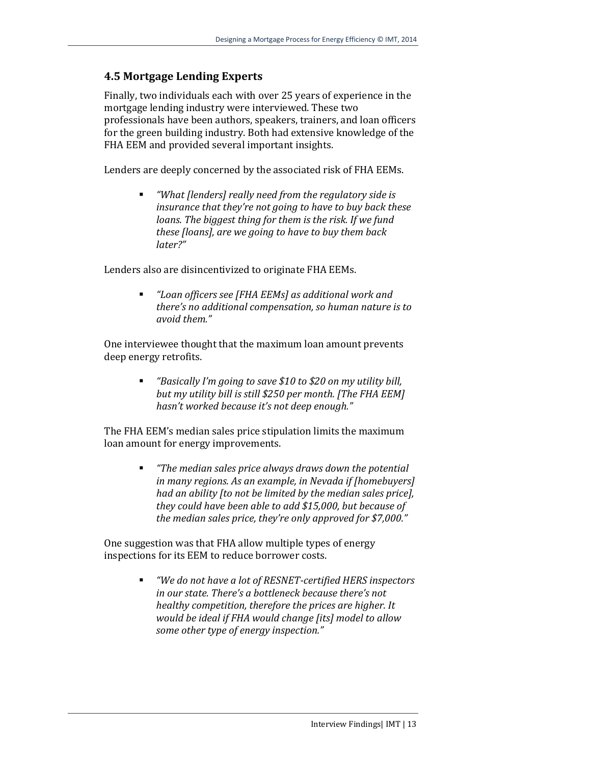#### **4.5 Mortgage Lending Experts**

Finally, two individuals each with over 25 years of experience in the mortgage lending industry were interviewed. These two professionals have been authors, speakers, trainers, and loan officers for the green building industry. Both had extensive knowledge of the FHA EEM and provided several important insights.

Lenders are deeply concerned by the associated risk of FHA EEMs.

 *"What [lenders] really need from the regulatory side is insurance that they're not going to have to buy back these loans. The biggest thing for them is the risk. If we fund these [loans], are we going to have to buy them back later?"* 

Lenders also are disincentivized to originate FHA EEMs.

 *"Loan officers see [FHA EEMs] as additional work and there's no additional compensation, so human nature is to avoid them."* 

One interviewee thought that the maximum loan amount prevents deep energy retrofits.

> *"Basically I'm going to save \$10 to \$20 on my utility bill, but my utility bill is still \$250 per month. [The FHA EEM] hasn't worked because it's not deep enough."*

The FHA EEM's median sales price stipulation limits the maximum loan amount for energy improvements.

> *"The median sales price always draws down the potential in many regions. As an example, in Nevada if [homebuyers] had an ability [to not be limited by the median sales price], they could have been able to add \$15,000, but because of the median sales price, they're only approved for \$7,000."*

One suggestion was that FHA allow multiple types of energy inspections for its EEM to reduce borrower costs.

> *"We do not have a lot of RESNET-certified HERS inspectors in our state. There's a bottleneck because there's not healthy competition, therefore the prices are higher. It would be ideal if FHA would change [its] model to allow some other type of energy inspection."*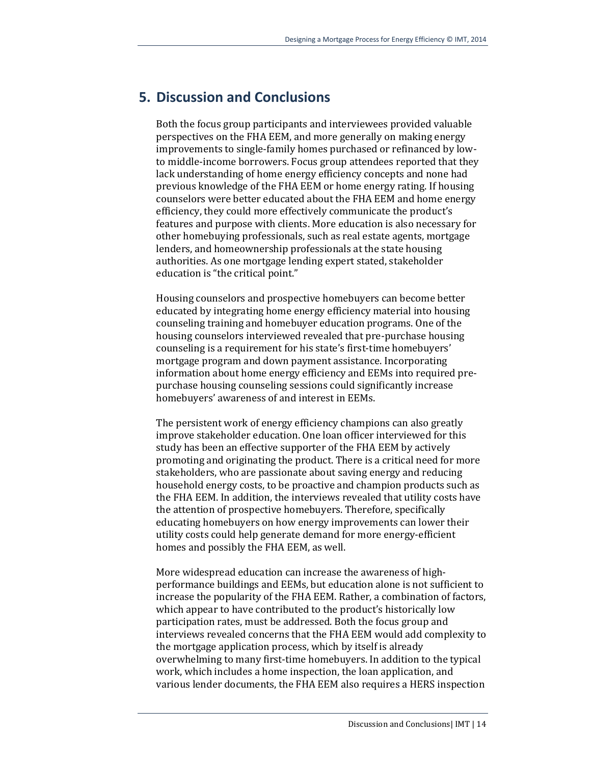## **5. Discussion and Conclusions**

Both the focus group participants and interviewees provided valuable perspectives on the FHA EEM, and more generally on making energy improvements to single-family homes purchased or refinanced by lowto middle-income borrowers. Focus group attendees reported that they lack understanding of home energy efficiency concepts and none had previous knowledge of the FHA EEM or home energy rating. If housing counselors were better educated about the FHA EEM and home energy efficiency, they could more effectively communicate the product's features and purpose with clients. More education is also necessary for other homebuying professionals, such as real estate agents, mortgage lenders, and homeownership professionals at the state housing authorities. As one mortgage lending expert stated, stakeholder education is "the critical point."

Housing counselors and prospective homebuyers can become better educated by integrating home energy efficiency material into housing counseling training and homebuyer education programs. One of the housing counselors interviewed revealed that pre-purchase housing counseling is a requirement for his state's first-time homebuyers' mortgage program and down payment assistance. Incorporating information about home energy efficiency and EEMs into required prepurchase housing counseling sessions could significantly increase homebuyers' awareness of and interest in EEMs.

The persistent work of energy efficiency champions can also greatly improve stakeholder education. One loan officer interviewed for this study has been an effective supporter of the FHA EEM by actively promoting and originating the product. There is a critical need for more stakeholders, who are passionate about saving energy and reducing household energy costs, to be proactive and champion products such as the FHA EEM. In addition, the interviews revealed that utility costs have the attention of prospective homebuyers. Therefore, specifically educating homebuyers on how energy improvements can lower their utility costs could help generate demand for more energy-efficient homes and possibly the FHA EEM, as well.

More widespread education can increase the awareness of highperformance buildings and EEMs, but education alone is not sufficient to increase the popularity of the FHA EEM. Rather, a combination of factors, which appear to have contributed to the product's historically low participation rates, must be addressed. Both the focus group and interviews revealed concerns that the FHA EEM would add complexity to the mortgage application process, which by itself is already overwhelming to many first-time homebuyers. In addition to the typical work, which includes a home inspection, the loan application, and various lender documents, the FHA EEM also requires a HERS inspection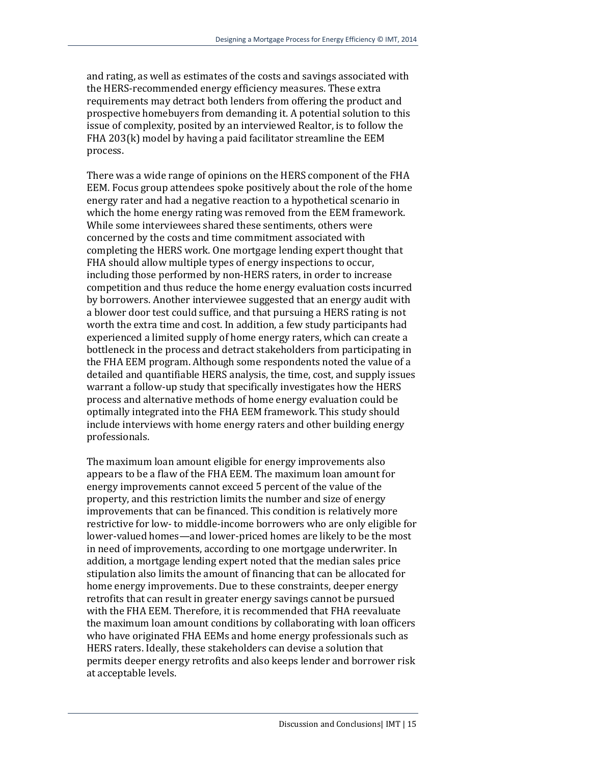and rating, as well as estimates of the costs and savings associated with the HERS-recommended energy efficiency measures. These extra requirements may detract both lenders from offering the product and prospective homebuyers from demanding it. A potential solution to this issue of complexity, posited by an interviewed Realtor, is to follow the FHA 203(k) model by having a paid facilitator streamline the EEM process.

There was a wide range of opinions on the HERS component of the FHA EEM. Focus group attendees spoke positively about the role of the home energy rater and had a negative reaction to a hypothetical scenario in which the home energy rating was removed from the EEM framework. While some interviewees shared these sentiments, others were concerned by the costs and time commitment associated with completing the HERS work. One mortgage lending expert thought that FHA should allow multiple types of energy inspections to occur, including those performed by non-HERS raters, in order to increase competition and thus reduce the home energy evaluation costs incurred by borrowers. Another interviewee suggested that an energy audit with a blower door test could suffice, and that pursuing a HERS rating is not worth the extra time and cost. In addition, a few study participants had experienced a limited supply of home energy raters, which can create a bottleneck in the process and detract stakeholders from participating in the FHA EEM program. Although some respondents noted the value of a detailed and quantifiable HERS analysis, the time, cost, and supply issues warrant a follow-up study that specifically investigates how the HERS process and alternative methods of home energy evaluation could be optimally integrated into the FHA EEM framework. This study should include interviews with home energy raters and other building energy professionals.

The maximum loan amount eligible for energy improvements also appears to be a flaw of the FHA EEM. The maximum loan amount for energy improvements cannot exceed 5 percent of the value of the property, and this restriction limits the number and size of energy improvements that can be financed. This condition is relatively more restrictive for low- to middle-income borrowers who are only eligible for lower-valued homes—and lower-priced homes are likely to be the most in need of improvements, according to one mortgage underwriter. In addition, a mortgage lending expert noted that the median sales price stipulation also limits the amount of financing that can be allocated for home energy improvements. Due to these constraints, deeper energy retrofits that can result in greater energy savings cannot be pursued with the FHA EEM. Therefore, it is recommended that FHA reevaluate the maximum loan amount conditions by collaborating with loan officers who have originated FHA EEMs and home energy professionals such as HERS raters. Ideally, these stakeholders can devise a solution that permits deeper energy retrofits and also keeps lender and borrower risk at acceptable levels.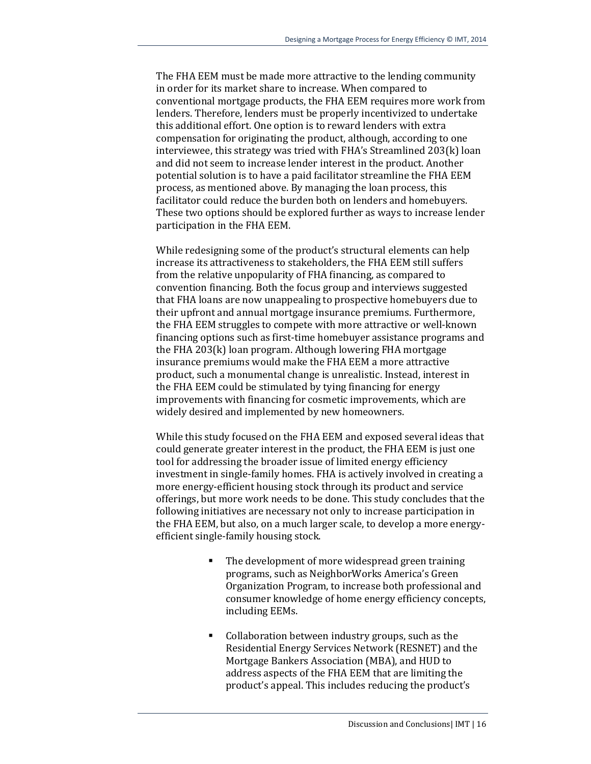The FHA EEM must be made more attractive to the lending community in order for its market share to increase. When compared to conventional mortgage products, the FHA EEM requires more work from lenders. Therefore, lenders must be properly incentivized to undertake this additional effort. One option is to reward lenders with extra compensation for originating the product, although, according to one interviewee, this strategy was tried with FHA's Streamlined 203(k) loan and did not seem to increase lender interest in the product. Another potential solution is to have a paid facilitator streamline the FHA EEM process, as mentioned above. By managing the loan process, this facilitator could reduce the burden both on lenders and homebuyers. These two options should be explored further as ways to increase lender participation in the FHA EEM.

While redesigning some of the product's structural elements can help increase its attractiveness to stakeholders, the FHA EEM still suffers from the relative unpopularity of FHA financing, as compared to convention financing. Both the focus group and interviews suggested that FHA loans are now unappealing to prospective homebuyers due to their upfront and annual mortgage insurance premiums. Furthermore, the FHA EEM struggles to compete with more attractive or well-known financing options such as first-time homebuyer assistance programs and the FHA 203(k) loan program. Although lowering FHA mortgage insurance premiums would make the FHA EEM a more attractive product, such a monumental change is unrealistic. Instead, interest in the FHA EEM could be stimulated by tying financing for energy improvements with financing for cosmetic improvements, which are widely desired and implemented by new homeowners.

While this study focused on the FHA EEM and exposed several ideas that could generate greater interest in the product, the FHA EEM is just one tool for addressing the broader issue of limited energy efficiency investment in single-family homes. FHA is actively involved in creating a more energy-efficient housing stock through its product and service offerings, but more work needs to be done. This study concludes that the following initiatives are necessary not only to increase participation in the FHA EEM, but also, on a much larger scale, to develop a more energyefficient single-family housing stock.

- The development of more widespread green training programs, such as NeighborWorks America's Green Organization Program, to increase both professional and consumer knowledge of home energy efficiency concepts, including EEMs.
- Collaboration between industry groups, such as the Residential Energy Services Network (RESNET) and the Mortgage Bankers Association (MBA), and HUD to address aspects of the FHA EEM that are limiting the product's appeal. This includes reducing the product's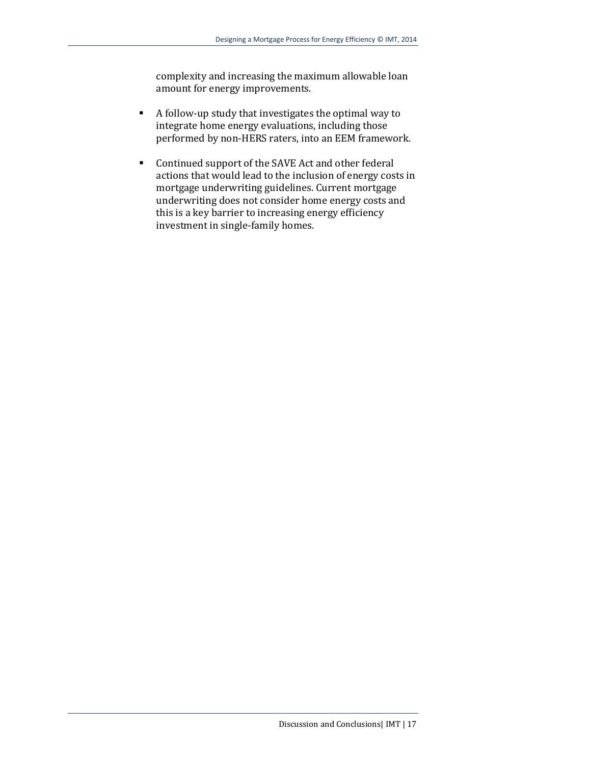complexity and increasing the maximum allowable loan amount for energy improvements.

- A follow-up study that investigates the optimal way to integrate home energy evaluations, including those performed by non-HERS raters, into an EEM framework.
- Continued support of the SAVE Act and other federal actions that would lead to the inclusion of energy costs in mortgage underwriting guidelines. Current mortgage underwriting does not consider home energy costs and this is a key barrier to increasing energy efficiency investment in single-family homes.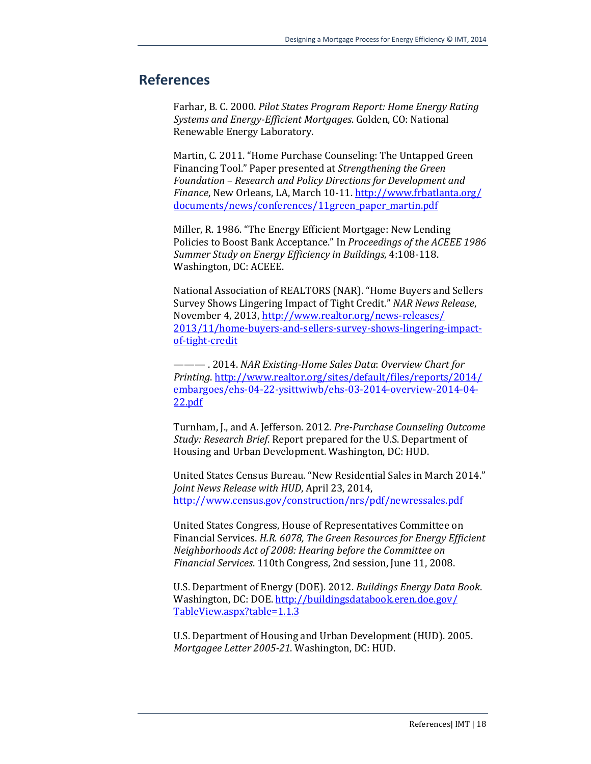#### **References**

Farhar, B. C. 2000. *Pilot States Program Report: Home Energy Rating Systems and Energy-Efficient Mortgages*. Golden, CO: National Renewable Energy Laboratory.

Martin, C. 2011. "Home Purchase Counseling: The Untapped Green Financing Tool." Paper presented at *Strengthening the Green Foundation – Research and Policy Directions for Development and Finance*, New Orleans, LA, March 10-11. [http://www.frbatlanta.org/](http://www.frbatlanta.org/%20documents/news/conferences/11green_paper_martin.pdf)  [documents/news/conferences/11green\\_paper\\_martin.pdf](http://www.frbatlanta.org/%20documents/news/conferences/11green_paper_martin.pdf)

Miller, R. 1986. "The Energy Efficient Mortgage: New Lending Policies to Boost Bank Acceptance." In *Proceedings of the ACEEE 1986 Summer Study on Energy Efficiency in Buildings*, 4:108-118. Washington, DC: ACEEE.

National Association of REALTORS (NAR). "Home Buyers and Sellers Survey Shows Lingering Impact of Tight Credit." *NAR News Release*, November 4, 2013[, http://www.realtor.org/news-releases/](http://www.realtor.org/news-releases/%202013/11/home-buyers-and-sellers-survey-shows-lingering-impact-of-tight-credit)  [2013/11/home-buyers-and-sellers-survey-shows-lingering-impact](http://www.realtor.org/news-releases/%202013/11/home-buyers-and-sellers-survey-shows-lingering-impact-of-tight-credit)[of-tight-credit](http://www.realtor.org/news-releases/%202013/11/home-buyers-and-sellers-survey-shows-lingering-impact-of-tight-credit)

——— . 2014. *NAR Existing-Home Sales Data*: *Overview Chart for Printing*. [http://www.realtor.org/sites/default/files/reports/2014/](http://www.realtor.org/sites/default/files/reports/2014/%20embargoes/ehs-04-22-ysittwiwb/ehs-03-2014-overview-2014-04-22.pdf)  [embargoes/ehs-04-22-ysittwiwb/ehs-03-2014-overview-2014-04-](http://www.realtor.org/sites/default/files/reports/2014/%20embargoes/ehs-04-22-ysittwiwb/ehs-03-2014-overview-2014-04-22.pdf) [22.pdf](http://www.realtor.org/sites/default/files/reports/2014/%20embargoes/ehs-04-22-ysittwiwb/ehs-03-2014-overview-2014-04-22.pdf) 

Turnham, J., and A. Jefferson. 2012. *Pre-Purchase Counseling Outcome Study: Research Brief*. Report prepared for the U.S. Department of Housing and Urban Development. Washington, DC: HUD.

United States Census Bureau. "New Residential Sales in March 2014." *Joint News Release with HUD*, April 23, 2014, <http://www.census.gov/construction/nrs/pdf/newressales.pdf>

United States Congress, House of Representatives Committee on Financial Services. *H.R. 6078, The Green Resources for Energy Efficient Neighborhoods Act of 2008: Hearing before the Committee on Financial Services*. 110th Congress, 2nd session, June 11, 2008.

U.S. Department of Energy (DOE). 2012. *Buildings Energy Data Book*. Washington, DC: DOE[. http://buildingsdatabook.eren.doe.gov/](http://buildingsdatabook.eren.doe.gov/%20TableView.aspx?table=1.1.3)  [TableView.aspx?table=1.1.3](http://buildingsdatabook.eren.doe.gov/%20TableView.aspx?table=1.1.3)

U.S. Department of Housing and Urban Development (HUD). 2005. *Mortgagee Letter 2005-21*. Washington, DC: HUD.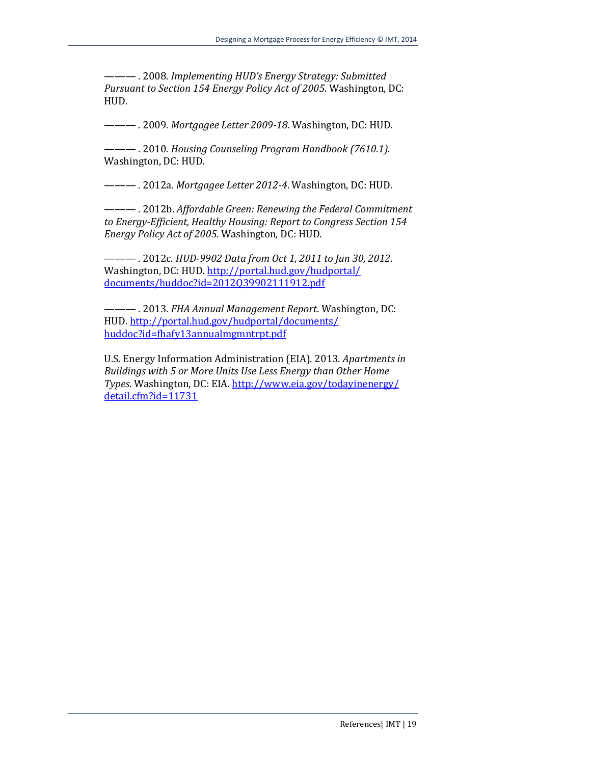——— . 2008. *Implementing HUD's Energy Strategy: Submitted Pursuant to Section 154 Energy Policy Act of 2005*. Washington, DC: HUD.

——— . 2009. *Mortgagee Letter 2009-18*. Washington, DC: HUD.

——— . 2010. *Housing Counseling Program Handbook (7610.1)*. Washington, DC: HUD.

——— . 2012a. *Mortgagee Letter 2012-4*. Washington, DC: HUD.

——— . 2012b. *Affordable Green: Renewing the Federal Commitment to Energy-Efficient, Healthy Housing: Report to Congress Section 154 Energy Policy Act of 2005*. Washington, DC: HUD.

——— . 2012c. *HUD-9902 Data from Oct 1, 2011 to Jun 30, 2012*. Washington, DC: HUD[. http://portal.hud.gov/hudportal/](http://portal.hud.gov/hudportal/documents/huddoc?id=2012Q39902111912.pdf) [documents/huddoc?id=2012Q39902111912.pdf](http://portal.hud.gov/hudportal/documents/huddoc?id=2012Q39902111912.pdf)

——— . 2013. *FHA Annual Management Report*. Washington, DC: HUD[. http://portal.hud.gov/hudportal/documents/](http://portal.hud.gov/hudportal/documents/%20huddoc?id=fhafy13annualmgmntrpt.pdf)  [huddoc?id=fhafy13annualmgmntrpt.pdf](http://portal.hud.gov/hudportal/documents/%20huddoc?id=fhafy13annualmgmntrpt.pdf)

U.S. Energy Information Administration (EIA). 2013. *Apartments in Buildings with 5 or More Units Use Less Energy than Other Home Types*. Washington, DC: EIA[. http://www.eia.gov/todayinenergy/](http://www.eia.gov/todayinenergy/%20detail.cfm?id=11731)  [detail.cfm?id=11731](http://www.eia.gov/todayinenergy/%20detail.cfm?id=11731)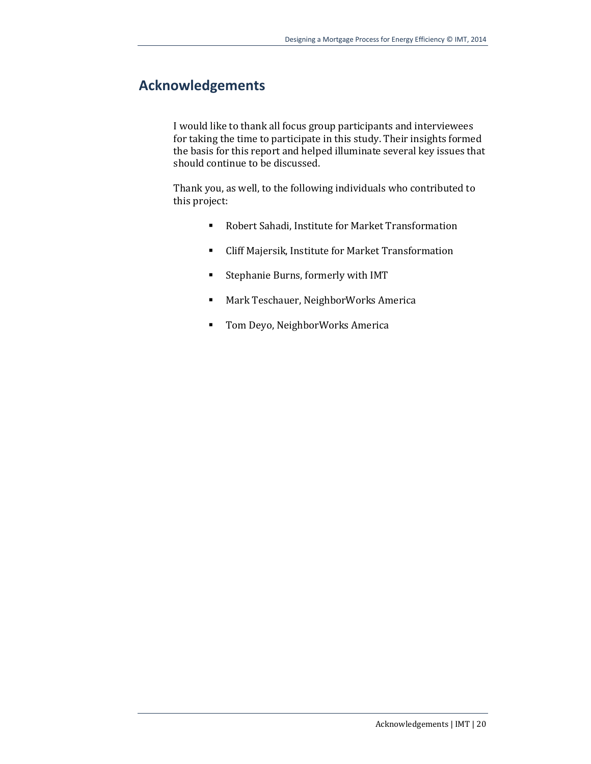## **Acknowledgements**

I would like to thank all focus group participants and interviewees for taking the time to participate in this study. Their insights formed the basis for this report and helped illuminate several key issues that should continue to be discussed.

Thank you, as well, to the following individuals who contributed to this project:

- Robert Sahadi, Institute for Market Transformation
- Cliff Majersik, Institute for Market Transformation
- **EXECUTE:** Stephanie Burns, formerly with IMT
- **Mark Teschauer, NeighborWorks America**
- **Tom Deyo, NeighborWorks America**